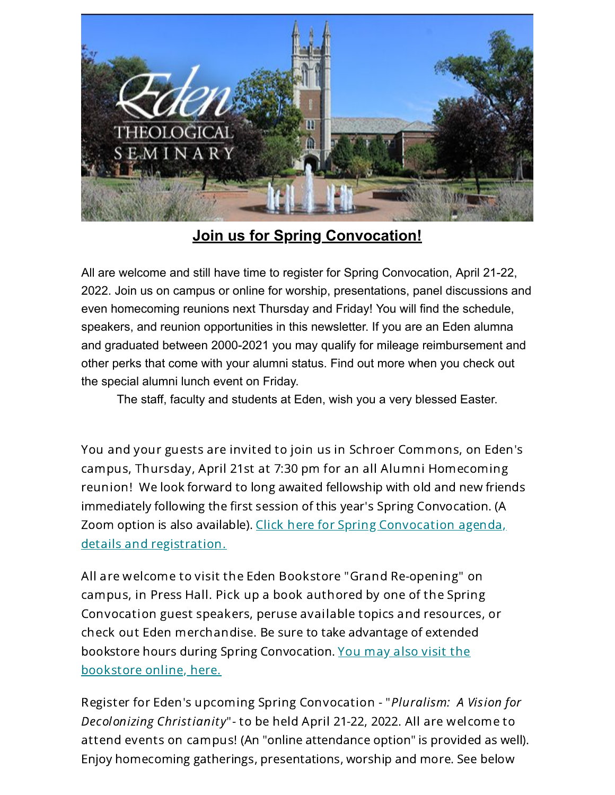

## **Join us for Spring Convocation!**

All are welcome and still have time to register for Spring Convocation, April 21-22, 2022. Join us on campus or online for worship, presentations, panel discussions and even homecoming reunions next Thursday and Friday! You will find the schedule, speakers, and reunion opportunities in this newsletter. If you are an Eden alumna and graduated between 2000-2021 you may qualify for mileage reimbursement and other perks that come with your alumni status. Find out more when you check out the special alumni lunch event on Friday.

The staff, faculty and students at Eden, wish you a very blessed Easter.

You and your guests are invited to join us in Schroer Commons, on Eden's campus, Thursday, April 21st at 7:30 pm for an all Alumni Homecoming reunion! We look forward to long awaited fellowship with old and new friends immediately following the first session of this year's Spring Convocation. (A Zoom option is also available). Click here for Spring [Convocation](https://www.eden.edu/events/spring-convocation-2022/) agenda, details and registration.

All are welcome to visit the Eden Bookstore "Grand Re-opening" on campus, in Press Hall. Pick up a book authored by one of the Spring Convocation guest speakers, peruse available topics and resources, or check out Eden merchandise. Be sure to take advantage of extended bookstore hours during Spring [Convocation.](https://bookshop.org/shop/Eden_Bookstore) You may also visit the bookstore online, here.

Register for Eden's upcoming Spring Convocation - "Pluralism: A Vision for Decolonizing Christianity"- to be held April 21-22, 2022. All are welcome to attend events on campus! (An "online attendance option" is provided as well). Enjoy homecoming gatherings, presentations, worship and more. See below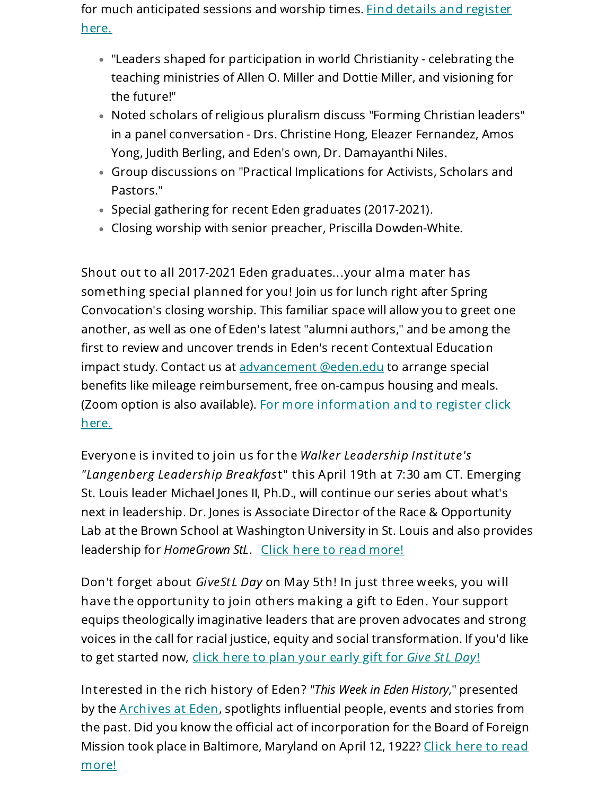for much [anticipated](https://www.eden.edu/events/spring-convocation-2022/) sessions and worship times. Find details and register here.

- "Leaders shaped for participation in world Christianity celebrating the teaching ministries of Allen O. Miller and Dottie Miller, and visioning for the future!"
- Noted scholars of religious pluralism discuss "Forming Christian leaders" in a panel conversation - Drs. Christine Hong, Eleazer Fernandez, Amos Yong, Judith Berling, and Eden's own, Dr. Damayanthi Niles.
- Group discussions on "Practical Implications for Activists, Scholars and Pastors."
- Special gathering for recent Eden graduates (2017-2021).
- Closing worship with senior preacher, Priscilla Dowden-White.

Shout out to all 2017-2021 Eden graduates...your alma mater has something special planned for you! Join us for lunch right after Spring Convocation's closing worship. This familiar space will allow you to greet one another, as well as one of Eden's latest "alumni authors," and be among the first to review and uncover trends in Eden's recent Contextual Education impact study. Contact us at [advancement](mailto:advancement@eden.edu?subject=Herbster%20event%202022&body=I%27d%20like%20information%20on%20how%20to%20get%20mileage%20reimbursement%2C%20on-campus%20housing%20and%20lunch%20at%20Spring%20Convocation-all%20on%20Eden!) @eden.edu to arrange special benefits like mileage reimbursement, free on-campus housing and meals. (Zoom option is also available). For more [information](https://www.eden.edu/events/spring-convocation-2022/) and to register click here.

Everyone is invited to join us for the Walker Leadership Institute's "Langenberg Leadership Breakfast" this April 19th at 7:30 am CT. Emerging St. Louis leader Michael Jones II, Ph.D., will continue our series about what's next in leadership. Dr. Jones is Associate Director of the Race & Opportunity Lab at the Brown School at Washington University in St. Louis and also provides leadership for HomeGrown StL. Click here to read [more!](https://www.eden.edu/events/langenberg-jones/)

Don't forget about GiveStL Day on May 5th! In just three weeks, you will have the opportunity to join others making a gift to Eden. Your support equips theologically imaginative leaders that are proven advocates and strong voices in the call for racial justice, equity and social transformation. If you'd like to get started now, click here to plan your [early](https://www.givestlday.org/eden) gift for Give StL Day!

Interested in the rich history of Eden? "This Week in Eden History," presented by the **[Archives](https://www.eden.edu/the-archives-at-eden-theological-seminary/) at Eden**, spotlights influential people, events and stories from the past. Did you know the official act of incorporation for the Board of Foreign Mission took place in [Baltimore,](https://www.eden.edu/wp-content/uploads/2022/04/04-12-Board-of-Foreign-Missions.pdf) Maryland on April 12, 1922? Click here to read more!